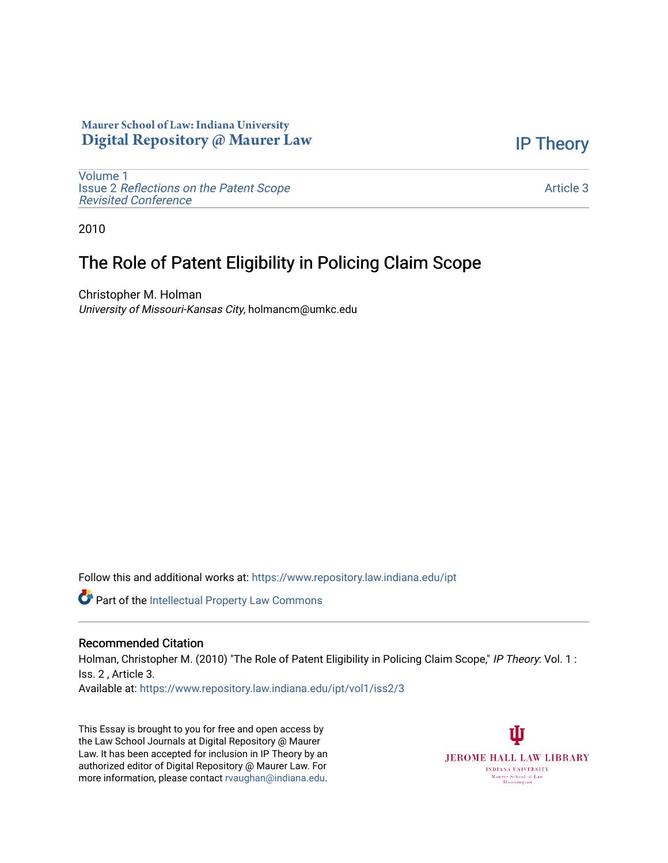### Maurer School of Law: Indiana University Digital Repository @ Maurer Law

[Volume 1](https://www.repository.law.indiana.edu/ipt/vol1) Issue 2 [Reflections on the Patent Scope](https://www.repository.law.indiana.edu/ipt/vol1/iss2)  [Revisited Conference](https://www.repository.law.indiana.edu/ipt/vol1/iss2)

[IP Theory](https://www.repository.law.indiana.edu/ipt) 

[Article 3](https://www.repository.law.indiana.edu/ipt/vol1/iss2/3) 

2010

# The Role of Patent Eligibility in Policing Claim Scope

Christopher M. Holman University of Missouri-Kansas City, holmancm@umkc.edu

Follow this and additional works at: [https://www.repository.law.indiana.edu/ipt](https://www.repository.law.indiana.edu/ipt?utm_source=www.repository.law.indiana.edu%2Fipt%2Fvol1%2Fiss2%2F3&utm_medium=PDF&utm_campaign=PDFCoverPages) 

**Part of the Intellectual Property Law Commons** 

#### Recommended Citation

Holman, Christopher M. (2010) "The Role of Patent Eligibility in Policing Claim Scope," IP Theory: Vol. 1: Iss. 2 , Article 3.

Available at: [https://www.repository.law.indiana.edu/ipt/vol1/iss2/3](https://www.repository.law.indiana.edu/ipt/vol1/iss2/3?utm_source=www.repository.law.indiana.edu%2Fipt%2Fvol1%2Fiss2%2F3&utm_medium=PDF&utm_campaign=PDFCoverPages) 

This Essay is brought to you for free and open access by the Law School Journals at Digital Repository @ Maurer Law. It has been accepted for inclusion in IP Theory by an authorized editor of Digital Repository @ Maurer Law. For more information, please contact [rvaughan@indiana.edu](mailto:rvaughan@indiana.edu).

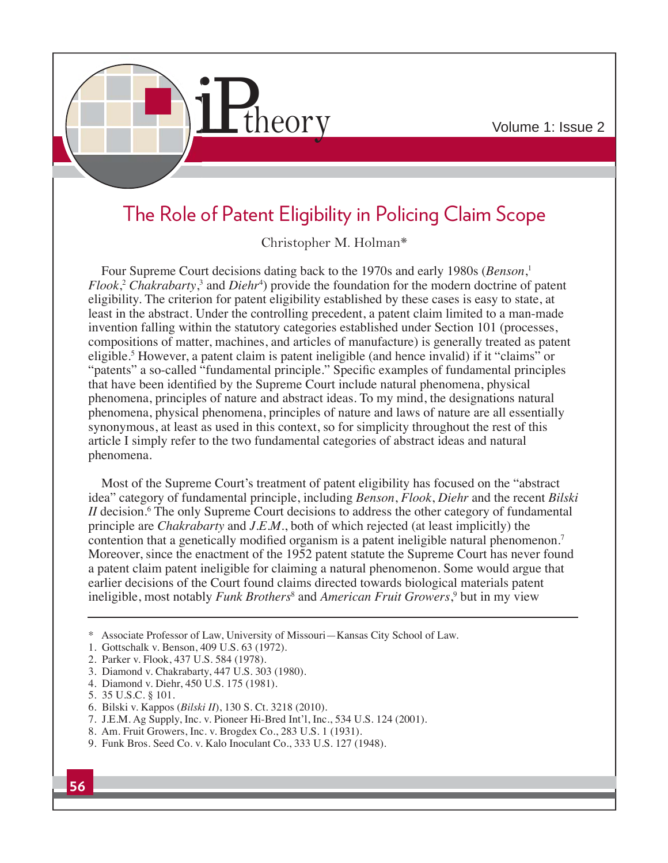

# The Role of Patent Eligibility in Policing Claim Scope

Christopher M. Holman\*

Four Supreme Court decisions dating back to the 1970s and early 1980s (*Benson*, 1 *Flook*,<sup>2</sup> *Chakrabarty*,<sup>3</sup> and *Diehr*<sup>4</sup>) provide the foundation for the modern doctrine of patent eligibility. The criterion for patent eligibility established by these cases is easy to state, at least in the abstract. Under the controlling precedent, a patent claim limited to a man-made invention falling within the statutory categories established under Section 101 (processes, compositions of matter, machines, and articles of manufacture) is generally treated as patent eligible.<sup>5</sup> However, a patent claim is patent ineligible (and hence invalid) if it "claims" or "patents" a so-called "fundamental principle." Specific examples of fundamental principles that have been identified by the Supreme Court include natural phenomena, physical phenomena, principles of nature and abstract ideas. To my mind, the designations natural phenomena, physical phenomena, principles of nature and laws of nature are all essentially synonymous, at least as used in this context, so for simplicity throughout the rest of this article I simply refer to the two fundamental categories of abstract ideas and natural phenomena.

Most of the Supreme Court's treatment of patent eligibility has focused on the "abstract idea" category of fundamental principle, including *Benson*, *Flook*, *Diehr* and the recent *Bilski II* decision.<sup>6</sup> The only Supreme Court decisions to address the other category of fundamental principle are *Chakrabarty* and *J.E.M.*, both of which rejected (at least implicitly) the contention that a genetically modified organism is a patent ineligible natural phenomenon.<sup>7</sup> Moreover, since the enactment of the 1952 patent statute the Supreme Court has never found a patent claim patent ineligible for claiming a natural phenomenon. Some would argue that earlier decisions of the Court found claims directed towards biological materials patent ineligible, most notably *Funk Brothers*<sup>8</sup> and *American Fruit Growers*, 9 but in my view

- 7. J.E.M. Ag Supply, Inc. v. Pioneer Hi-Bred Int'l, Inc., 534 U.S. 124 (2001).
- 8. Am. Fruit Growers, Inc. v. Brogdex Co., 283 U.S. 1 (1931).
- 9. Funk Bros. Seed Co. v. Kalo Inoculant Co., 333 U.S. 127 (1948).

<sup>\*</sup> Associate Professor of Law, University of Missouri—Kansas City School of Law.

<sup>1.</sup> Gottschalk v. Benson, 409 U.S. 63 (1972).

<sup>2.</sup> Parker v. Flook, 437 U.S. 584 (1978).

<sup>3.</sup> Diamond v. Chakrabarty, 447 U.S. 303 (1980).

<sup>4.</sup> Diamond v. Diehr, 450 U.S. 175 (1981).

<sup>5. 35</sup> U.S.C. § 101.

<sup>6.</sup> Bilski v. Kappos (*Bilski II*), 130 S. Ct. 3218 (2010).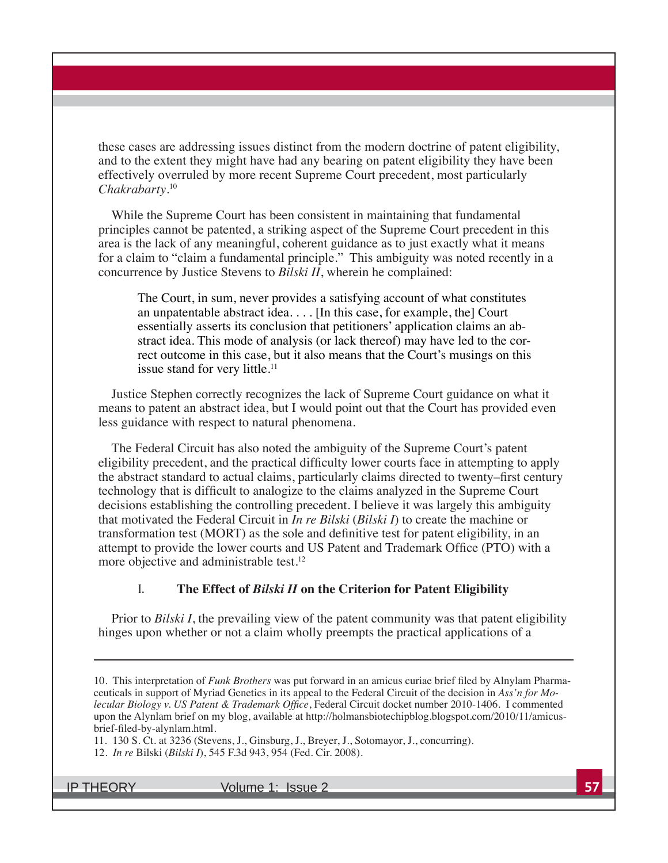these cases are addressing issues distinct from the modern doctrine of patent eligibility, and to the extent they might have had any bearing on patent eligibility they have been effectively overruled by more recent Supreme Court precedent, most particularly *Chakrabarty*. 10

While the Supreme Court has been consistent in maintaining that fundamental principles cannot be patented, a striking aspect of the Supreme Court precedent in this area is the lack of any meaningful, coherent guidance as to just exactly what it means for a claim to "claim a fundamental principle." This ambiguity was noted recently in a concurrence by Justice Stevens to *Bilski II*, wherein he complained:

The Court, in sum, never provides a satisfying account of what constitutes an unpatentable abstract idea.... [In this case, for example, the] Court essentially asserts its conclusion that petitioners' application claims an abstract idea. This mode of analysis (or lack thereof) may have led to the correct outcome in this case, but it also means that the Court's musings on this issue stand for very little.<sup>11</sup>

Justice Stephen correctly recognizes the lack of Supreme Court guidance on what it means to patent an abstract idea, but I would point out that the Court has provided even less guidance with respect to natural phenomena.

The Federal Circuit has also noted the ambiguity of the Supreme Court's patent eligibility precedent, and the practical difficulty lower courts face in attempting to apply the abstract standard to actual claims, particularly claims directed to twenty–first century technology that is difficult to analogize to the claims analyzed in the Supreme Court decisions establishing the controlling precedent. I believe it was largely this ambiguity that motivated the Federal Circuit in *In re Bilski* (*Bilski I*) to create the machine or transformation test (MORT) as the sole and definitive test for patent eligibility, in an attempt to provide the lower courts and US Patent and Trademark Office (PTO) with a more objective and administrable test.<sup>12</sup>

#### I. **The Effect of** *Bilski II* **on the Criterion for Patent Eligibility**

Prior to *Bilski I*, the prevailing view of the patent community was that patent eligibility hinges upon whether or not a claim wholly preempts the practical applications of a

11. 130 S. Ct. at 3236 (Stevens, J., Ginsburg, J., Breyer, J., Sotomayor, J., concurring).

<sup>10.</sup> This interpretation of *Funk Brothers* was put forward in an amicus curiae brief filed by Alnylam Pharmaceuticals in support of Myriad Genetics in its appeal to the Federal Circuit of the decision in *Ass'n for Mo-Iecular Biology v. US Patent & Trademark Office, Federal Circuit docket number 2010-1406. I commented* upon the Alynlam brief on my blog, available at http://holmansbiotechipblog.blogspot.com/2010/11/amicusbrief-filed-by-alynlam.html.

<sup>12.</sup> *In re* Bilski (*Bilski I*), 545 F.3d 943, 954 (Fed. Cir. 2008).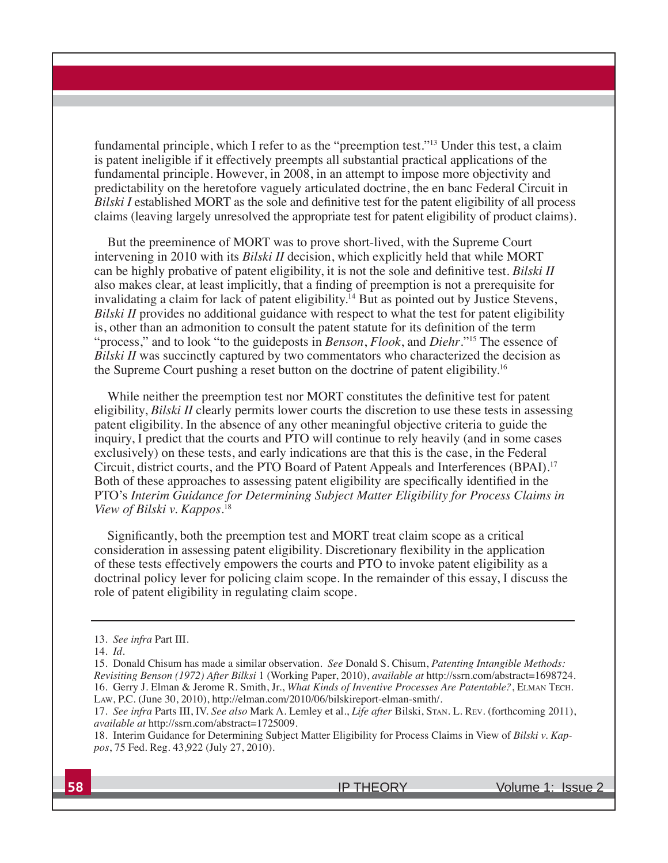fundamental principle, which I refer to as the "preemption test."<sup>13</sup> Under this test, a claim is patent ineligible if it effectively preempts all substantial practical applications of the fundamental principle. However, in 2008, in an attempt to impose more objectivity and predictability on the heretofore vaguely articulated doctrine, the en banc Federal Circuit in *Bilski I* established MORT as the sole and definitive test for the patent eligibility of all process claims (leaving largely unresolved the appropriate test for patent eligibility of product claims).

But the preeminence of MORT was to prove short-lived, with the Supreme Court intervening in 2010 with its *Bilski II* decision, which explicitly held that while MORT can be highly probative of patent eligibility, it is not the sole and definitive test. Bilski II also makes clear, at least implicitly, that a finding of preemption is not a prerequisite for invalidating a claim for lack of patent eligibility.<sup>14</sup> But as pointed out by Justice Stevens, *Bilski II* provides no additional guidance with respect to what the test for patent eligibility is, other than an admonition to consult the patent statute for its definition of the term "process," and to look "to the guideposts in *Benson*, *Flook*, and *Diehr*."15 The essence of *Bilski II* was succinctly captured by two commentators who characterized the decision as the Supreme Court pushing a reset button on the doctrine of patent eligibility.16

While neither the preemption test nor MORT constitutes the definitive test for patent eligibility, *Bilski II* clearly permits lower courts the discretion to use these tests in assessing patent eligibility. In the absence of any other meaningful objective criteria to guide the inquiry, I predict that the courts and PTO will continue to rely heavily (and in some cases exclusively) on these tests, and early indications are that this is the case, in the Federal Circuit, district courts, and the PTO Board of Patent Appeals and Interferences (BPAI).17 Both of these approaches to assessing patent eligibility are specifically identified in the PTO's *Interim Guidance for Determining Subject Matter Eligibility for Process Claims in View of Bilski v. Kappos*. 18

Significantly, both the preemption test and MORT treat claim scope as a critical consideration in assessing patent eligibility. Discretionary flexibility in the application of these tests effectively empowers the courts and PTO to invoke patent eligibility as a doctrinal policy lever for policing claim scope. In the remainder of this essay, I discuss the role of patent eligibility in regulating claim scope.

<sup>13.</sup> *See infra* Part III.

<sup>14.</sup> *Id.*

<sup>15.</sup> Donald Chisum has made a similar observation. *See* Donald S. Chisum, *Patenting Intangible Methods: Revisiting Benson (1972) After Bilksi* 1 (Working Paper, 2010), *available at* http://ssrn.com/abstract=1698724. 16. Gerry J. Elman & Jerome R. Smith, Jr., *What Kinds of Inventive Processes Are Patentable?*, ELMAN TECH. LAW, P.C. (June 30, 2010), http://elman.com/2010/06/bilskireport-elman-smith/.

<sup>17.</sup> *See infra* Parts III, IV. *See also* Mark A. Lemley et al., *Life after* Bilski, STAN. L. REV. (forthcoming 2011), *available at* http://ssrn.com/abstract=1725009.

<sup>18.</sup> Interim Guidance for Determining Subject Matter Eligibility for Process Claims in View of *Bilski v. Kappos*, 75 Fed. Reg. 43,922 (July 27, 2010).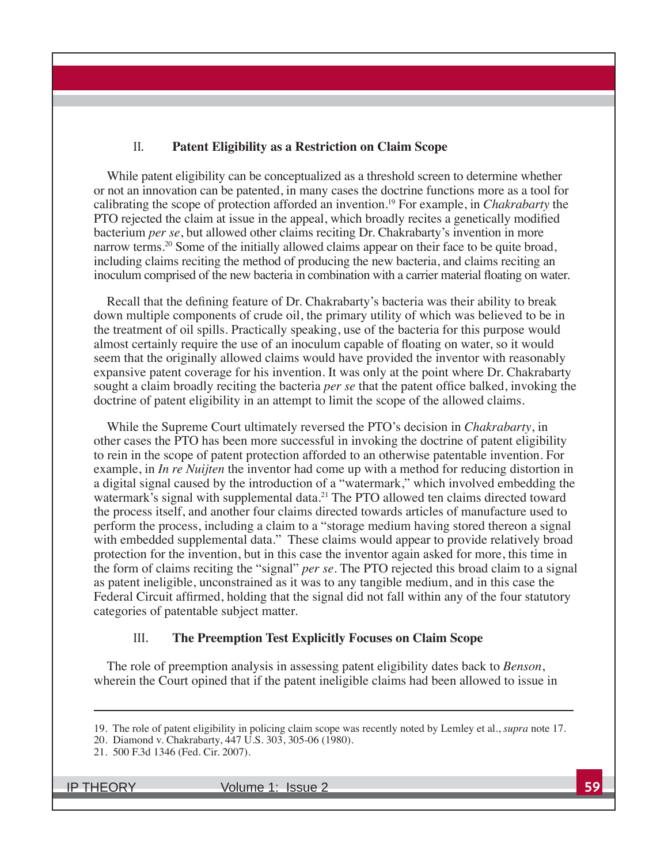#### II. **Patent Eligibility as a Restriction on Claim Scope**

While patent eligibility can be conceptualized as a threshold screen to determine whether or not an innovation can be patented, in many cases the doctrine functions more as a tool for calibrating the scope of protection afforded an invention.<sup>19</sup> For example, in *Chakrabarty* the PTO rejected the claim at issue in the appeal, which broadly recites a genetically modified bacterium *per se*, but allowed other claims reciting Dr. Chakrabarty's invention in more narrow terms.<sup>20</sup> Some of the initially allowed claims appear on their face to be quite broad, including claims reciting the method of producing the new bacteria, and claims reciting an inoculum comprised of the new bacteria in combination with a carrier material floating on water.

Recall that the defining feature of Dr. Chakrabarty's bacteria was their ability to break down multiple components of crude oil, the primary utility of which was believed to be in the treatment of oil spills. Practically speaking, use of the bacteria for this purpose would almost certainly require the use of an inoculum capable of floating on water, so it would seem that the originally allowed claims would have provided the inventor with reasonably expansive patent coverage for his invention. It was only at the point where Dr. Chakrabarty sought a claim broadly reciting the bacteria *per se* that the patent office balked, invoking the doctrine of patent eligibility in an attempt to limit the scope of the allowed claims.

While the Supreme Court ultimately reversed the PTO's decision in *Chakrabarty*, in other cases the PTO has been more successful in invoking the doctrine of patent eligibility to rein in the scope of patent protection afforded to an otherwise patentable invention. For example, in *In re Nuijten* the inventor had come up with a method for reducing distortion in a digital signal caused by the introduction of a "watermark," which involved embedding the watermark's signal with supplemental data.<sup>21</sup> The PTO allowed ten claims directed toward the process itself, and another four claims directed towards articles of manufacture used to perform the process, including a claim to a "storage medium having stored thereon a signal with embedded supplemental data." These claims would appear to provide relatively broad protection for the invention, but in this case the inventor again asked for more, this time in the form of claims reciting the "signal" *per se*. The PTO rejected this broad claim to a signal as patent ineligible, unconstrained as it was to any tangible medium, and in this case the Federal Circuit affirmed, holding that the signal did not fall within any of the four statutory categories of patentable subject matter.

#### III. **The Preemption Test Explicitly Focuses on Claim Scope**

The role of preemption analysis in assessing patent eligibility dates back to *Benson*, wherein the Court opined that if the patent ineligible claims had been allowed to issue in

<sup>19.</sup> The role of patent eligibility in policing claim scope was recently noted by Lemley et al., *supra* note 17.

<sup>20.</sup> Diamond v. Chakrabarty, 447 U.S. 303, 305-06 (1980).

<sup>21. 500</sup> F.3d 1346 (Fed. Cir. 2007).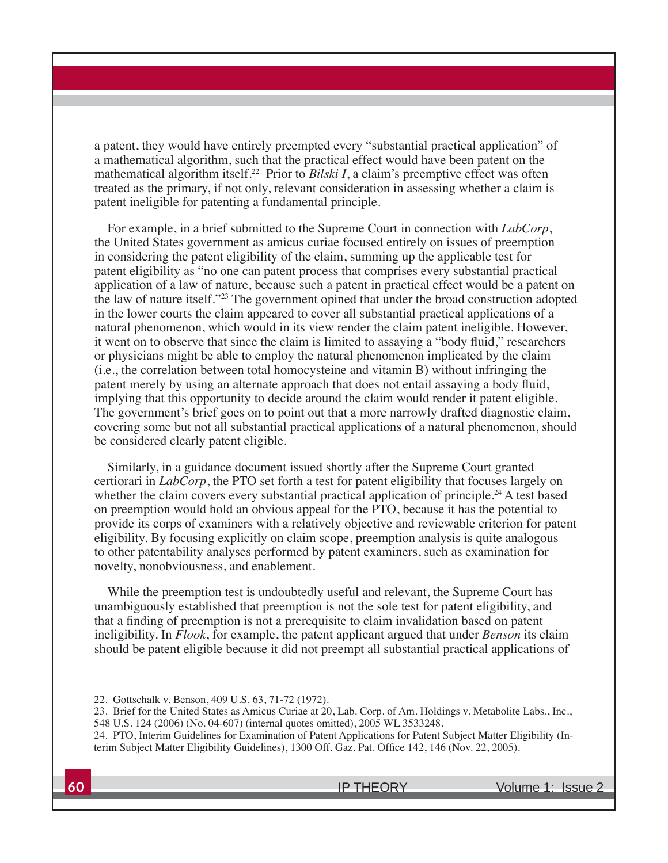a patent, they would have entirely preempted every "substantial practical application" of a mathematical algorithm, such that the practical effect would have been patent on the mathematical algorithm itself.<sup>22</sup> Prior to *Bilski I*, a claim's preemptive effect was often treated as the primary, if not only, relevant consideration in assessing whether a claim is patent ineligible for patenting a fundamental principle.

For example, in a brief submitted to the Supreme Court in connection with *LabCorp*, the United States government as amicus curiae focused entirely on issues of preemption in considering the patent eligibility of the claim, summing up the applicable test for patent eligibility as "no one can patent process that comprises every substantial practical application of a law of nature, because such a patent in practical effect would be a patent on the law of nature itself."23 The government opined that under the broad construction adopted in the lower courts the claim appeared to cover all substantial practical applications of a natural phenomenon, which would in its view render the claim patent ineligible. However, it went on to observe that since the claim is limited to assaying a "body fluid," researchers or physicians might be able to employ the natural phenomenon implicated by the claim (i.e., the correlation between total homocysteine and vitamin B) without infringing the patent merely by using an alternate approach that does not entail assaying a body fluid, implying that this opportunity to decide around the claim would render it patent eligible. The government's brief goes on to point out that a more narrowly drafted diagnostic claim, covering some but not all substantial practical applications of a natural phenomenon, should be considered clearly patent eligible.

Similarly, in a guidance document issued shortly after the Supreme Court granted certiorari in *LabCorp*, the PTO set forth a test for patent eligibility that focuses largely on whether the claim covers every substantial practical application of principle.<sup>24</sup> A test based on preemption would hold an obvious appeal for the PTO, because it has the potential to provide its corps of examiners with a relatively objective and reviewable criterion for patent eligibility. By focusing explicitly on claim scope, preemption analysis is quite analogous to other patentability analyses performed by patent examiners, such as examination for novelty, nonobviousness, and enablement.

While the preemption test is undoubtedly useful and relevant, the Supreme Court has unambiguously established that preemption is not the sole test for patent eligibility, and that a finding of preemption is not a prerequisite to claim invalidation based on patent ineligibility. In *Flook*, for example, the patent applicant argued that under *Benson* its claim should be patent eligible because it did not preempt all substantial practical applications of

<sup>22.</sup> Gottschalk v. Benson, 409 U.S. 63, 71-72 (1972).

<sup>23.</sup> Brief for the United States as Amicus Curiae at 20, Lab. Corp. of Am. Holdings v. Metabolite Labs., Inc., 548 U.S. 124 (2006) (No. 04-607) (internal quotes omitted), 2005 WL 3533248.

<sup>24.</sup> PTO, Interim Guidelines for Examination of Patent Applications for Patent Subject Matter Eligibility (Interim Subject Matter Eligibility Guidelines), 1300 Off. Gaz. Pat. Office 142, 146 (Nov. 22, 2005).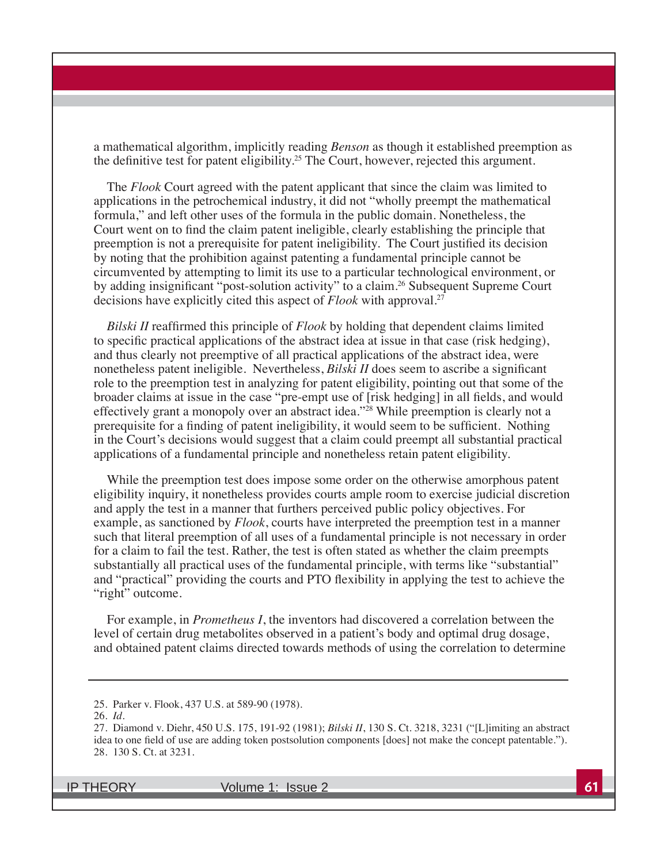a mathematical algorithm, implicitly reading *Benson* as though it established preemption as the definitive test for patent eligibility.<sup>25</sup> The Court, however, rejected this argument.

The *Flook* Court agreed with the patent applicant that since the claim was limited to applications in the petrochemical industry, it did not "wholly preempt the mathematical formula," and left other uses of the formula in the public domain. Nonetheless, the Court went on to find the claim patent ineligible, clearly establishing the principle that preemption is not a prerequisite for patent ineligibility. The Court justified its decision by noting that the prohibition against patenting a fundamental principle cannot be circumvented by attempting to limit its use to a particular technological environment, or by adding insignificant "post-solution activity" to a claim.<sup>26</sup> Subsequent Supreme Court decisions have explicitly cited this aspect of *Flook* with approval.<sup>27</sup>

*Bilski II* reaffirmed this principle of *Flook* by holding that dependent claims limited to specific practical applications of the abstract idea at issue in that case (risk hedging), and thus clearly not preemptive of all practical applications of the abstract idea, were nonetheless patent ineligible. Nevertheless, *Bilski II* does seem to ascribe a significant role to the preemption test in analyzing for patent eligibility, pointing out that some of the broader claims at issue in the case "pre-empt use of [risk hedging] in all fields, and would effectively grant a monopoly over an abstract idea."28 While preemption is clearly not a prerequisite for a finding of patent ineligibility, it would seem to be sufficient. Nothing in the Court's decisions would suggest that a claim could preempt all substantial practical applications of a fundamental principle and nonetheless retain patent eligibility.

While the preemption test does impose some order on the otherwise amorphous patent eligibility inquiry, it nonetheless provides courts ample room to exercise judicial discretion and apply the test in a manner that furthers perceived public policy objectives. For example, as sanctioned by *Flook*, courts have interpreted the preemption test in a manner such that literal preemption of all uses of a fundamental principle is not necessary in order for a claim to fail the test. Rather, the test is often stated as whether the claim preempts substantially all practical uses of the fundamental principle, with terms like "substantial" and "practical" providing the courts and PTO flexibility in applying the test to achieve the "right" outcome.

For example, in *Prometheus I*, the inventors had discovered a correlation between the level of certain drug metabolites observed in a patient's body and optimal drug dosage, and obtained patent claims directed towards methods of using the correlation to determine

<sup>25.</sup> Parker v. Flook, 437 U.S. at 589-90 (1978).

<sup>26.</sup> *Id.*

<sup>27.</sup> Diamond v. Diehr, 450 U.S. 175, 191-92 (1981); *Bilski II*, 130 S. Ct. 3218, 3231 ("[L]imiting an abstract idea to one field of use are adding token postsolution components [does] not make the concept patentable."). 28. 130 S. Ct. at 3231.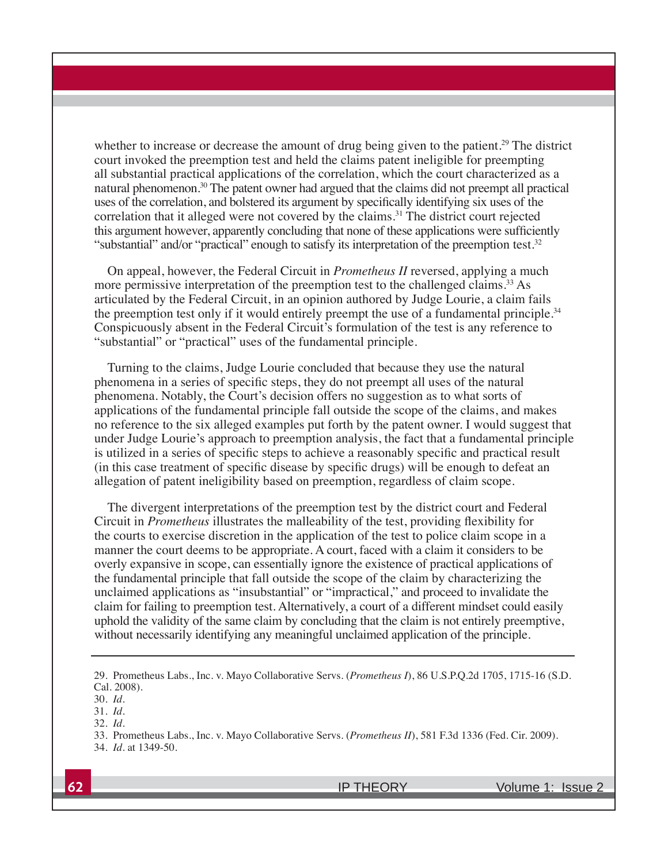whether to increase or decrease the amount of drug being given to the patient.<sup>29</sup> The district court invoked the preemption test and held the claims patent ineligible for preempting all substantial practical applications of the correlation, which the court characterized as a natural phenomenon.30 The patent owner had argued that the claims did not preempt all practical uses of the correlation, and bolstered its argument by specifically identifying six uses of the correlation that it alleged were not covered by the claims.<sup>31</sup> The district court rejected this argument however, apparently concluding that none of these applications were sufficiently "substantial" and/or "practical" enough to satisfy its interpretation of the preemption test.<sup>32</sup>

On appeal, however, the Federal Circuit in *Prometheus II* reversed, applying a much more permissive interpretation of the preemption test to the challenged claims.<sup>33</sup> As articulated by the Federal Circuit, in an opinion authored by Judge Lourie, a claim fails the preemption test only if it would entirely preempt the use of a fundamental principle.<sup>34</sup> Conspicuously absent in the Federal Circuit's formulation of the test is any reference to "substantial" or "practical" uses of the fundamental principle.

Turning to the claims, Judge Lourie concluded that because they use the natural phenomena in a series of specific steps, they do not preempt all uses of the natural phenomena. Notably, the Court's decision offers no suggestion as to what sorts of applications of the fundamental principle fall outside the scope of the claims, and makes no reference to the six alleged examples put forth by the patent owner. I would suggest that under Judge Lourie's approach to preemption analysis, the fact that a fundamental principle is utilized in a series of specific steps to achieve a reasonably specific and practical result (in this case treatment of specific disease by specific drugs) will be enough to defeat an allegation of patent ineligibility based on preemption, regardless of claim scope.

The divergent interpretations of the preemption test by the district court and Federal Circuit in *Prometheus* illustrates the malleability of the test, providing flexibility for the courts to exercise discretion in the application of the test to police claim scope in a manner the court deems to be appropriate. A court, faced with a claim it considers to be overly expansive in scope, can essentially ignore the existence of practical applications of the fundamental principle that fall outside the scope of the claim by characterizing the unclaimed applications as "insubstantial" or "impractical," and proceed to invalidate the claim for failing to preemption test. Alternatively, a court of a different mindset could easily uphold the validity of the same claim by concluding that the claim is not entirely preemptive, without necessarily identifying any meaningful unclaimed application of the principle.

<sup>29.</sup> Prometheus Labs., Inc. v. Mayo Collaborative Servs. (*Prometheus I*), 86 U.S.P.Q.2d 1705, 1715-16 (S.D. Cal. 2008).

<sup>30.</sup> *Id.*

<sup>31.</sup> *Id.*

<sup>32.</sup> *Id.*

<sup>33.</sup> Prometheus Labs., Inc. v. Mayo Collaborative Servs. (*Prometheus II*), 581 F.3d 1336 (Fed. Cir. 2009).

<sup>34.</sup> *Id.* at 1349-50.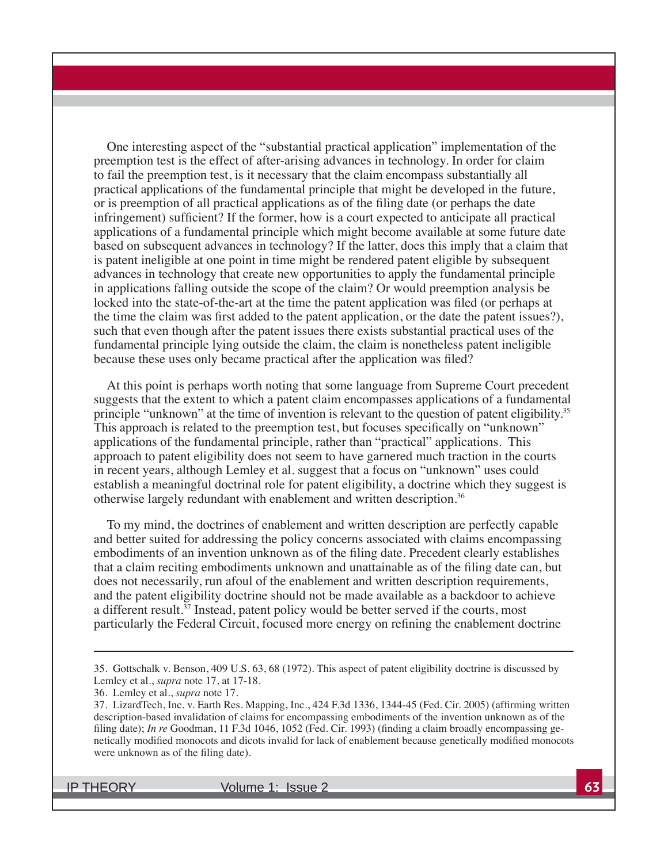One interesting aspect of the "substantial practical application" implementation of the preemption test is the effect of after-arising advances in technology. In order for claim to fail the preemption test, is it necessary that the claim encompass substantially all practical applications of the fundamental principle that might be developed in the future, or is preemption of all practical applications as of the filing date (or perhaps the date infringement) sufficient? If the former, how is a court expected to anticipate all practical applications of a fundamental principle which might become available at some future date based on subsequent advances in technology? If the latter, does this imply that a claim that is patent ineligible at one point in time might be rendered patent eligible by subsequent advances in technology that create new opportunities to apply the fundamental principle in applications falling outside the scope of the claim? Or would preemption analysis be locked into the state-of-the-art at the time the patent application was filed (or perhaps at the time the claim was first added to the patent application, or the date the patent issues?), such that even though after the patent issues there exists substantial practical uses of the fundamental principle lying outside the claim, the claim is nonetheless patent ineligible because these uses only became practical after the application was filed?

At this point is perhaps worth noting that some language from Supreme Court precedent suggests that the extent to which a patent claim encompasses applications of a fundamental principle "unknown" at the time of invention is relevant to the question of patent eligibility.<sup>35</sup> This approach is related to the preemption test, but focuses specifically on "unknown" applications of the fundamental principle, rather than "practical" applications. This approach to patent eligibility does not seem to have garnered much traction in the courts in recent years, although Lemley et al. suggest that a focus on "unknown" uses could establish a meaningful doctrinal role for patent eligibility, a doctrine which they suggest is otherwise largely redundant with enablement and written description.36

To my mind, the doctrines of enablement and written description are perfectly capable and better suited for addressing the policy concerns associated with claims encompassing embodiments of an invention unknown as of the filing date. Precedent clearly establishes that a claim reciting embodiments unknown and unattainable as of the filing date can, but does not necessarily, run afoul of the enablement and written description requirements, and the patent eligibility doctrine should not be made available as a backdoor to achieve a different result.<sup>37</sup> Instead, patent policy would be better served if the courts, most particularly the Federal Circuit, focused more energy on refining the enablement doctrine

<sup>35.</sup> Gottschalk v. Benson, 409 U.S. 63, 68 (1972). This aspect of patent eligibility doctrine is discussed by Lemley et al., *supra* note 17, at 17-18.

<sup>36.</sup> Lemley et al., *supra* note 17.

<sup>37.</sup> LizardTech, Inc. v. Earth Res. Mapping, Inc., 424 F.3d 1336, 1344-45 (Fed. Cir. 2005) (affirming written description-based invalidation of claims for encompassing embodiments of the invention unknown as of the filing date); *In re* Goodman, 11 F.3d 1046, 1052 (Fed. Cir. 1993) (finding a claim broadly encompassing genetically modified monocots and dicots invalid for lack of enablement because genetically modified monocots were unknown as of the filing date).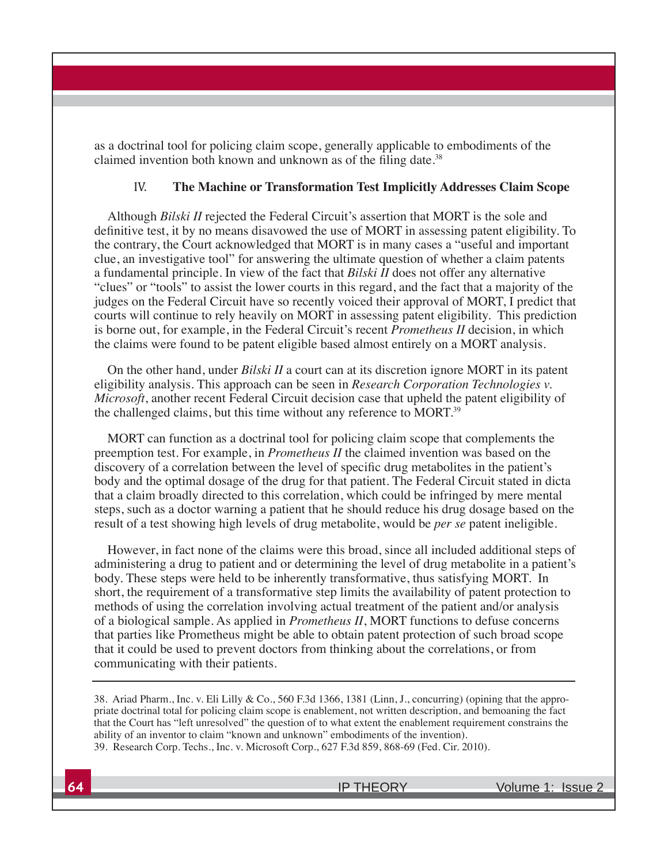as a doctrinal tool for policing claim scope, generally applicable to embodiments of the claimed invention both known and unknown as of the filing date.<sup>38</sup>

#### IV. **The Machine or Transformation Test Implicitly Addresses Claim Scope**

Although *Bilski II* rejected the Federal Circuit's assertion that MORT is the sole and definitive test, it by no means disavowed the use of MORT in assessing patent eligibility. To the contrary, the Court acknowledged that MORT is in many cases a "useful and important clue, an investigative tool" for answering the ultimate question of whether a claim patents a fundamental principle. In view of the fact that *Bilski II* does not offer any alternative "clues" or "tools" to assist the lower courts in this regard, and the fact that a majority of the judges on the Federal Circuit have so recently voiced their approval of MORT, I predict that courts will continue to rely heavily on MORT in assessing patent eligibility. This prediction is borne out, for example, in the Federal Circuit's recent *Prometheus II* decision, in which the claims were found to be patent eligible based almost entirely on a MORT analysis.

On the other hand, under *Bilski II* a court can at its discretion ignore MORT in its patent eligibility analysis. This approach can be seen in *Research Corporation Technologies v. Microsoft*, another recent Federal Circuit decision case that upheld the patent eligibility of the challenged claims, but this time without any reference to MORT.39

MORT can function as a doctrinal tool for policing claim scope that complements the preemption test. For example, in *Prometheus II* the claimed invention was based on the discovery of a correlation between the level of specific drug metabolites in the patient's body and the optimal dosage of the drug for that patient. The Federal Circuit stated in dicta that a claim broadly directed to this correlation, which could be infringed by mere mental steps, such as a doctor warning a patient that he should reduce his drug dosage based on the result of a test showing high levels of drug metabolite, would be *per se* patent ineligible.

However, in fact none of the claims were this broad, since all included additional steps of administering a drug to patient and or determining the level of drug metabolite in a patient's body. These steps were held to be inherently transformative, thus satisfying MORT. In short, the requirement of a transformative step limits the availability of patent protection to methods of using the correlation involving actual treatment of the patient and/or analysis of a biological sample. As applied in *Prometheus II*, MORT functions to defuse concerns that parties like Prometheus might be able to obtain patent protection of such broad scope that it could be used to prevent doctors from thinking about the correlations, or from communicating with their patients.

38. Ariad Pharm., Inc. v. Eli Lilly & Co., 560 F.3d 1366, 1381 (Linn, J., concurring) (opining that the appropriate doctrinal total for policing claim scope is enablement, not written description, and bemoaning the fact that the Court has "left unresolved" the question of to what extent the enablement requirement constrains the ability of an inventor to claim "known and unknown" embodiments of the invention). 39. Research Corp. Techs., Inc. v. Microsoft Corp., 627 F.3d 859, 868-69 (Fed. Cir. 2010).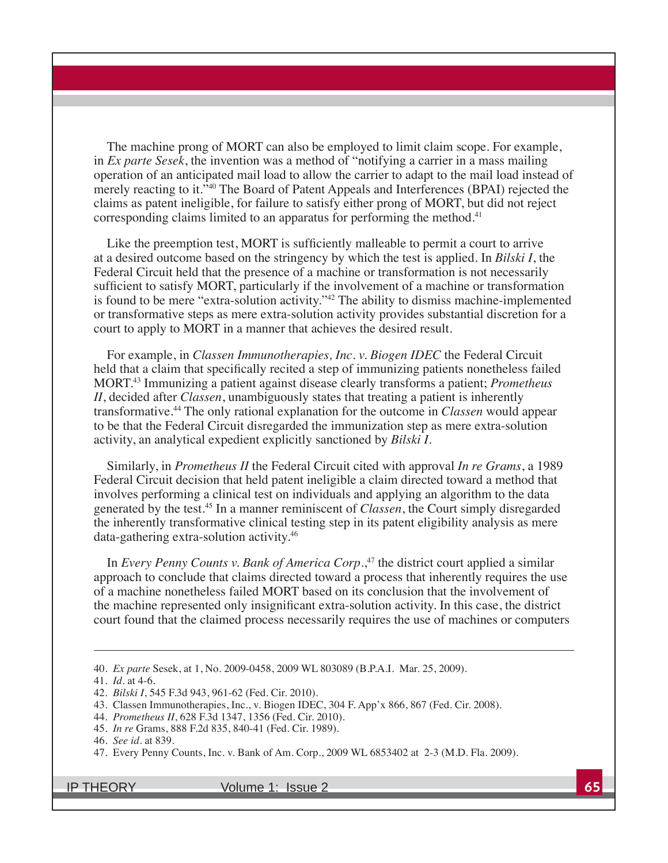The machine prong of MORT can also be employed to limit claim scope. For example, in *Ex parte Sesek*, the invention was a method of "notifying a carrier in a mass mailing operation of an anticipated mail load to allow the carrier to adapt to the mail load instead of merely reacting to it."40 The Board of Patent Appeals and Interferences (BPAI) rejected the claims as patent ineligible, for failure to satisfy either prong of MORT, but did not reject corresponding claims limited to an apparatus for performing the method.<sup>41</sup>

Like the preemption test, MORT is sufficiently malleable to permit a court to arrive at a desired outcome based on the stringency by which the test is applied. In *Bilski I*, the Federal Circuit held that the presence of a machine or transformation is not necessarily sufficient to satisfy MORT, particularly if the involvement of a machine or transformation is found to be mere "extra-solution activity." $42$  The ability to dismiss machine-implemented or transformative steps as mere extra-solution activity provides substantial discretion for a court to apply to MORT in a manner that achieves the desired result.

For example, in *Classen Immunotherapies, Inc. v. Biogen IDEC* the Federal Circuit held that a claim that specifically recited a step of immunizing patients nonetheless failed MORT.43 Immunizing a patient against disease clearly transforms a patient; *Prometheus II*, decided after *Classen*, unambiguously states that treating a patient is inherently transformative.<sup>44</sup> The only rational explanation for the outcome in *Classen* would appear to be that the Federal Circuit disregarded the immunization step as mere extra-solution activity, an analytical expedient explicitly sanctioned by *Bilski I*.

Similarly, in *Prometheus II* the Federal Circuit cited with approval *In re Grams*, a 1989 Federal Circuit decision that held patent ineligible a claim directed toward a method that involves performing a clinical test on individuals and applying an algorithm to the data generated by the test.45 In a manner reminiscent of *Classen*, the Court simply disregarded the inherently transformative clinical testing step in its patent eligibility analysis as mere data-gathering extra-solution activity. $46$ 

In *Every Penny Counts v. Bank of America Corp*.,<sup>47</sup> the district court applied a similar approach to conclude that claims directed toward a process that inherently requires the use of a machine nonetheless failed MORT based on its conclusion that the involvement of the machine represented only insignificant extra-solution activity. In this case, the district court found that the claimed process necessarily requires the use of machines or computers

<sup>40.</sup> *Ex parte* Sesek, at 1, No. 2009-0458, 2009 WL 803089 (B.P.A.I. Mar. 25, 2009).

<sup>41.</sup> *Id.* at 4-6.

<sup>42.</sup> *Bilski I*, 545 F.3d 943, 961-62 (Fed. Cir. 2010).

<sup>43.</sup> Classen Immunotherapies, Inc., v. Biogen IDEC, 304 F. App'x 866, 867 (Fed. Cir. 2008).

<sup>44.</sup> *Prometheus II*, 628 F.3d 1347, 1356 (Fed. Cir. 2010).

<sup>45.</sup> *In re* Grams, 888 F.2d 835, 840-41 (Fed. Cir. 1989).

<sup>46.</sup> *See id.* at 839.

<sup>47.</sup> Every Penny Counts, Inc. v. Bank of Am. Corp., 2009 WL 6853402 at 2-3 (M.D. Fla. 2009).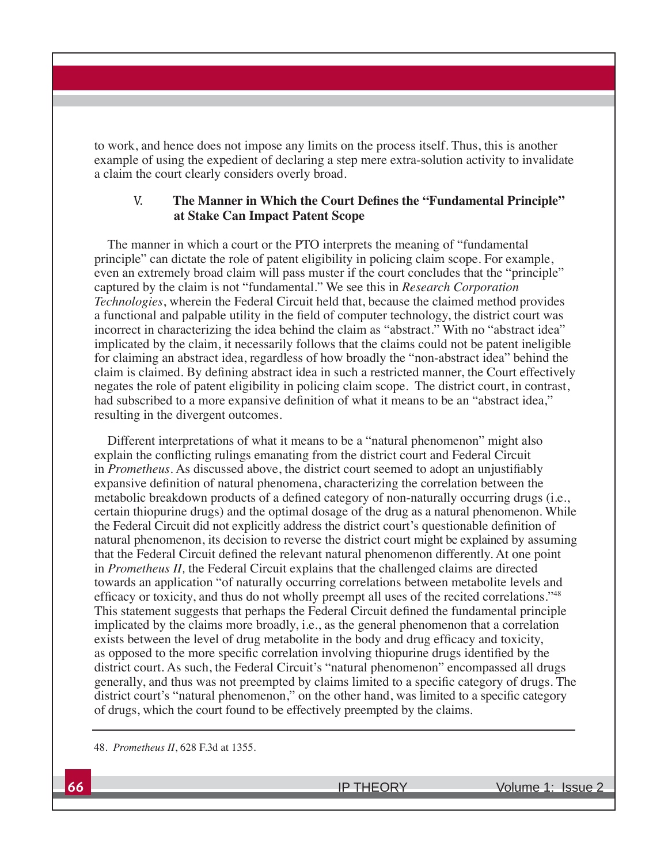to work, and hence does not impose any limits on the process itself. Thus, this is another example of using the expedient of declaring a step mere extra-solution activity to invalidate a claim the court clearly considers overly broad.

#### V. The Manner in Which the Court Defines the "Fundamental Principle" **at Stake Can Impact Patent Scope**

The manner in which a court or the PTO interprets the meaning of "fundamental principle" can dictate the role of patent eligibility in policing claim scope. For example, even an extremely broad claim will pass muster if the court concludes that the "principle" captured by the claim is not "fundamental." We see this in *Research Corporation Technologies*, wherein the Federal Circuit held that, because the claimed method provides a functional and palpable utility in the field of computer technology, the district court was incorrect in characterizing the idea behind the claim as "abstract." With no "abstract idea" implicated by the claim, it necessarily follows that the claims could not be patent ineligible for claiming an abstract idea, regardless of how broadly the "non-abstract idea" behind the claim is claimed. By defining abstract idea in such a restricted manner, the Court effectively negates the role of patent eligibility in policing claim scope. The district court, in contrast, had subscribed to a more expansive definition of what it means to be an "abstract idea," resulting in the divergent outcomes.

Different interpretations of what it means to be a "natural phenomenon" might also explain the conflicting rulings emanating from the district court and Federal Circuit in *Prometheus*. As discussed above, the district court seemed to adopt an unjustifiably expansive definition of natural phenomena, characterizing the correlation between the metabolic breakdown products of a defined category of non-naturally occurring drugs (i.e., certain thiopurine drugs) and the optimal dosage of the drug as a natural phenomenon. While the Federal Circuit did not explicitly address the district court's questionable definition of natural phenomenon, its decision to reverse the district court might be explained by assuming that the Federal Circuit defined the relevant natural phenomenon differently. At one point in *Prometheus II*, the Federal Circuit explains that the challenged claims are directed towards an application "of naturally occurring correlations between metabolite levels and efficacy or toxicity, and thus do not wholly preempt all uses of the recited correlations."<sup>48</sup> This statement suggests that perhaps the Federal Circuit defined the fundamental principle implicated by the claims more broadly, i.e., as the general phenomenon that a correlation exists between the level of drug metabolite in the body and drug efficacy and toxicity, as opposed to the more specific correlation involving thiopurine drugs identified by the district court. As such, the Federal Circuit's "natural phenomenon" encompassed all drugs generally, and thus was not preempted by claims limited to a specific category of drugs. The district court's "natural phenomenon," on the other hand, was limited to a specific category of drugs, which the court found to be effectively preempted by the claims.

48. *Prometheus II*, 628 F.3d at 1355.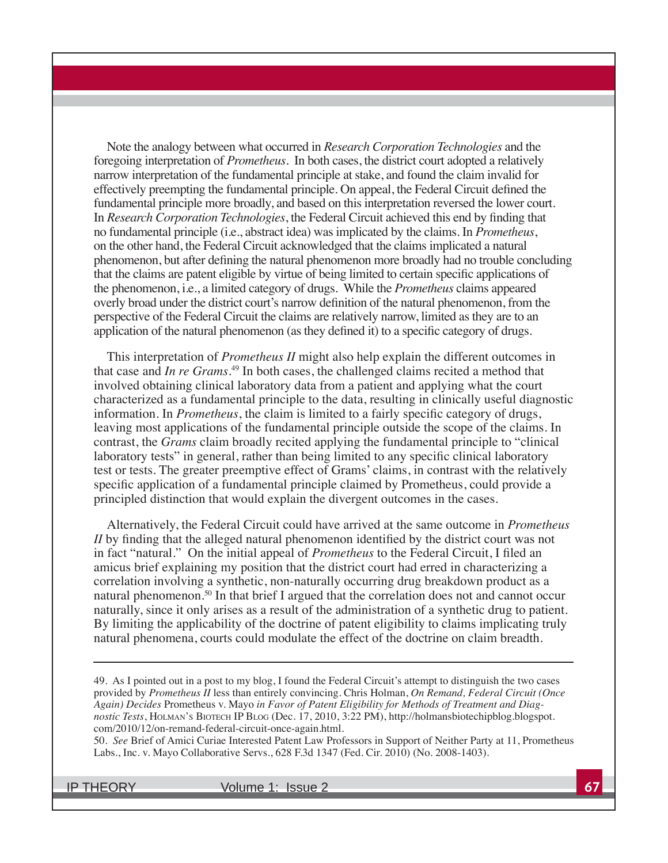Note the analogy between what occurred in *Research Corporation Technologies* and the foregoing interpretation of *Prometheus*. In both cases, the district court adopted a relatively narrow interpretation of the fundamental principle at stake, and found the claim invalid for effectively preempting the fundamental principle. On appeal, the Federal Circuit defined the fundamental principle more broadly, and based on this interpretation reversed the lower court. In *Research Corporation Technologies*, the Federal Circuit achieved this end by finding that no fundamental principle (i.e., abstract idea) was implicated by the claims. In *Prometheus*, on the other hand, the Federal Circuit acknowledged that the claims implicated a natural phenomenon, but after defining the natural phenomenon more broadly had no trouble concluding that the claims are patent eligible by virtue of being limited to certain specific applications of the phenomenon, i.e., a limited category of drugs. While the *Prometheus* claims appeared overly broad under the district court's narrow definition of the natural phenomenon, from the perspective of the Federal Circuit the claims are relatively narrow, limited as they are to an application of the natural phenomenon (as they defined it) to a specific category of drugs.

This interpretation of *Prometheus II* might also help explain the different outcomes in that case and *In re Grams*. 49 In both cases, the challenged claims recited a method that involved obtaining clinical laboratory data from a patient and applying what the court characterized as a fundamental principle to the data, resulting in clinically useful diagnostic information. In *Prometheus*, the claim is limited to a fairly specific category of drugs, leaving most applications of the fundamental principle outside the scope of the claims. In contrast, the *Grams* claim broadly recited applying the fundamental principle to "clinical laboratory tests" in general, rather than being limited to any specific clinical laboratory test or tests. The greater preemptive effect of Grams' claims, in contrast with the relatively specific application of a fundamental principle claimed by Prometheus, could provide a principled distinction that would explain the divergent outcomes in the cases.

Alternatively, the Federal Circuit could have arrived at the same outcome in *Prometheus*   $II$  by finding that the alleged natural phenomenon identified by the district court was not in fact "natural." On the initial appeal of *Prometheus* to the Federal Circuit, I filed an amicus brief explaining my position that the district court had erred in characterizing a correlation involving a synthetic, non-naturally occurring drug breakdown product as a natural phenomenon.50 In that brief I argued that the correlation does not and cannot occur naturally, since it only arises as a result of the administration of a synthetic drug to patient. By limiting the applicability of the doctrine of patent eligibility to claims implicating truly natural phenomena, courts could modulate the effect of the doctrine on claim breadth.

49. As I pointed out in a post to my blog, I found the Federal Circuit's attempt to distinguish the two cases provided by *Prometheus II* less than entirely convincing. Chris Holman, *On Remand, Federal Circuit (Once Again) Decides* Prometheus v. Mayo *in Favor of Patent Eligibility for Methods of Treatment and Diagnostic Tests*, HOLMAN'S BIOTECH IP BLOG (Dec. 17, 2010, 3:22 PM), http://holmansbiotechipblog.blogspot. com/2010/12/on-remand-federal-circuit-once-again.html.

50. *See* Brief of Amici Curiae Interested Patent Law Professors in Support of Neither Party at 11, Prometheus Labs., Inc. v. Mayo Collaborative Servs., 628 F.3d 1347 (Fed. Cir. 2010) (No. 2008-1403).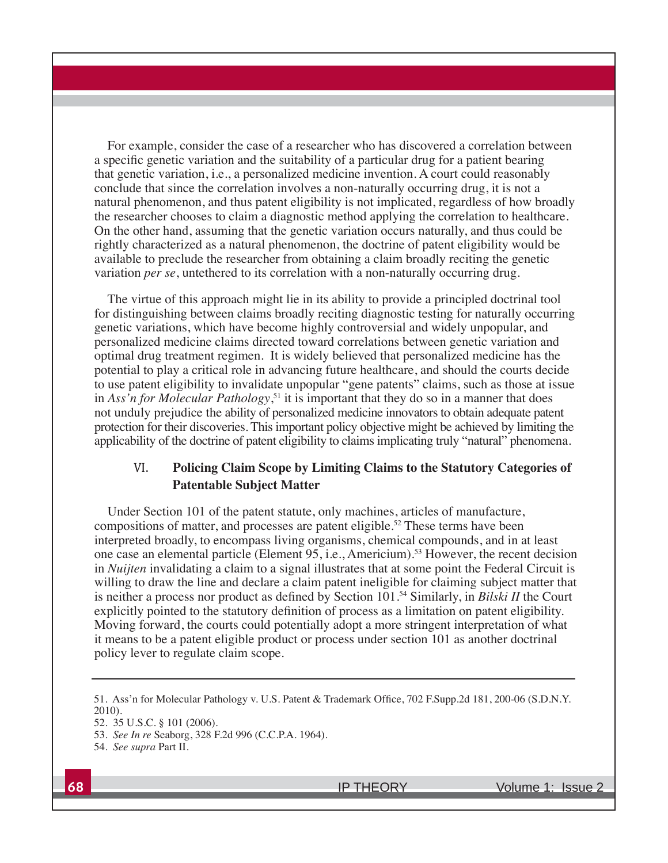For example, consider the case of a researcher who has discovered a correlation between a specific genetic variation and the suitability of a particular drug for a patient bearing that genetic variation, i.e., a personalized medicine invention. A court could reasonably conclude that since the correlation involves a non-naturally occurring drug, it is not a natural phenomenon, and thus patent eligibility is not implicated, regardless of how broadly the researcher chooses to claim a diagnostic method applying the correlation to healthcare. On the other hand, assuming that the genetic variation occurs naturally, and thus could be rightly characterized as a natural phenomenon, the doctrine of patent eligibility would be available to preclude the researcher from obtaining a claim broadly reciting the genetic variation *per se*, untethered to its correlation with a non-naturally occurring drug.

The virtue of this approach might lie in its ability to provide a principled doctrinal tool for distinguishing between claims broadly reciting diagnostic testing for naturally occurring genetic variations, which have become highly controversial and widely unpopular, and personalized medicine claims directed toward correlations between genetic variation and optimal drug treatment regimen. It is widely believed that personalized medicine has the potential to play a critical role in advancing future healthcare, and should the courts decide to use patent eligibility to invalidate unpopular "gene patents" claims, such as those at issue in *Ass'n for Molecular Pathology*, 51 it is important that they do so in a manner that does not unduly prejudice the ability of personalized medicine innovators to obtain adequate patent protection for their discoveries. This important policy objective might be achieved by limiting the applicability of the doctrine of patent eligibility to claims implicating truly "natural" phenomena.

## VI. **Policing Claim Scope by Limiting Claims to the Statutory Categories of Patentable Subject Matter**

Under Section 101 of the patent statute, only machines, articles of manufacture, compositions of matter, and processes are patent eligible.<sup>52</sup> These terms have been interpreted broadly, to encompass living organisms, chemical compounds, and in at least one case an elemental particle (Element 95, i.e., Americium).53 However, the recent decision in *Nuijten* invalidating a claim to a signal illustrates that at some point the Federal Circuit is willing to draw the line and declare a claim patent ineligible for claiming subject matter that is neither a process nor product as defined by Section  $101<sup>54</sup>$  Similarly, in *Bilski II* the Court explicitly pointed to the statutory definition of process as a limitation on patent eligibility. Moving forward, the courts could potentially adopt a more stringent interpretation of what it means to be a patent eligible product or process under section 101 as another doctrinal policy lever to regulate claim scope.

<sup>51.</sup> Ass'n for Molecular Pathology v. U.S. Patent & Trademark Office, 702 F.Supp.2d 181, 200-06 (S.D.N.Y. 2010).

<sup>52. 35</sup> U.S.C. § 101 (2006).

<sup>53.</sup> *See In re* Seaborg, 328 F.2d 996 (C.C.P.A. 1964).

<sup>54.</sup> *See supra* Part II.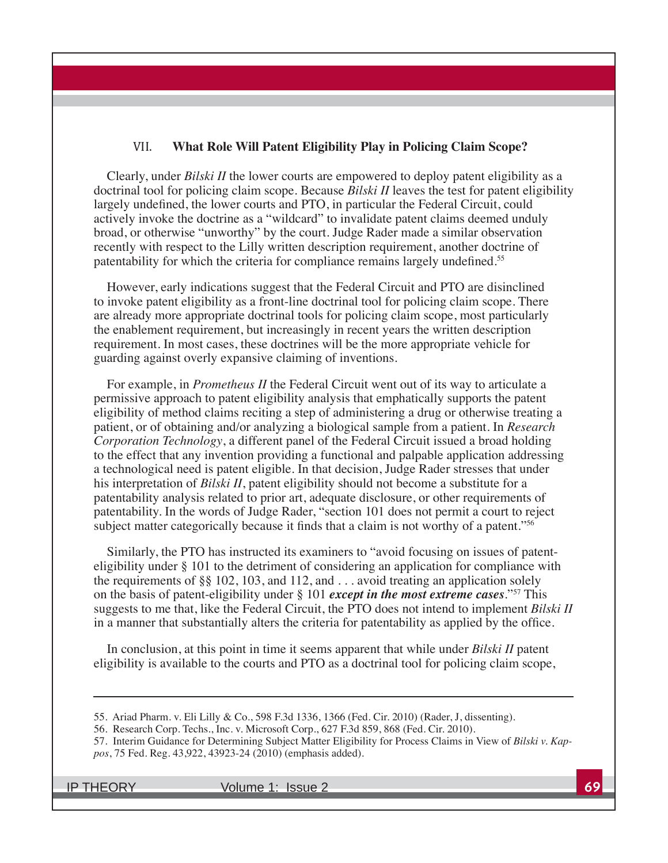#### VII. **What Role Will Patent Eligibility Play in Policing Claim Scope?**

Clearly, under *Bilski II* the lower courts are empowered to deploy patent eligibility as a doctrinal tool for policing claim scope. Because *Bilski II* leaves the test for patent eligibility largely undefined, the lower courts and PTO, in particular the Federal Circuit, could actively invoke the doctrine as a "wildcard" to invalidate patent claims deemed unduly broad, or otherwise "unworthy" by the court. Judge Rader made a similar observation recently with respect to the Lilly written description requirement, another doctrine of patentability for which the criteria for compliance remains largely undefined.<sup>55</sup>

However, early indications suggest that the Federal Circuit and PTO are disinclined to invoke patent eligibility as a front-line doctrinal tool for policing claim scope. There are already more appropriate doctrinal tools for policing claim scope, most particularly the enablement requirement, but increasingly in recent years the written description requirement. In most cases, these doctrines will be the more appropriate vehicle for guarding against overly expansive claiming of inventions.

For example, in *Prometheus II* the Federal Circuit went out of its way to articulate a permissive approach to patent eligibility analysis that emphatically supports the patent eligibility of method claims reciting a step of administering a drug or otherwise treating a patient, or of obtaining and/or analyzing a biological sample from a patient. In *Research Corporation Technology*, a different panel of the Federal Circuit issued a broad holding to the effect that any invention providing a functional and palpable application addressing a technological need is patent eligible. In that decision, Judge Rader stresses that under his interpretation of *Bilski II*, patent eligibility should not become a substitute for a patentability analysis related to prior art, adequate disclosure, or other requirements of patentability. In the words of Judge Rader, "section 101 does not permit a court to reject subject matter categorically because it finds that a claim is not worthy of a patent."<sup>56</sup>

Similarly, the PTO has instructed its examiners to "avoid focusing on issues of patenteligibility under § 101 to the detriment of considering an application for compliance with the requirements of §§ 102, 103, and 112, and  $\dots$  avoid treating an application solely on the basis of patent-eligibility under § 101 *except in the most extreme cases*."57 This suggests to me that, like the Federal Circuit, the PTO does not intend to implement *Bilski II* in a manner that substantially alters the criteria for patentability as applied by the office.

In conclusion, at this point in time it seems apparent that while under *Bilski II* patent eligibility is available to the courts and PTO as a doctrinal tool for policing claim scope,

<sup>55.</sup> Ariad Pharm. v. Eli Lilly & Co., 598 F.3d 1336, 1366 (Fed. Cir. 2010) (Rader, J, dissenting).

<sup>56.</sup> Research Corp. Techs., Inc. v. Microsoft Corp., 627 F.3d 859, 868 (Fed. Cir. 2010).

<sup>57.</sup> Interim Guidance for Determining Subject Matter Eligibility for Process Claims in View of *Bilski v. Kappos*, 75 Fed. Reg. 43,922, 43923-24 (2010) (emphasis added).